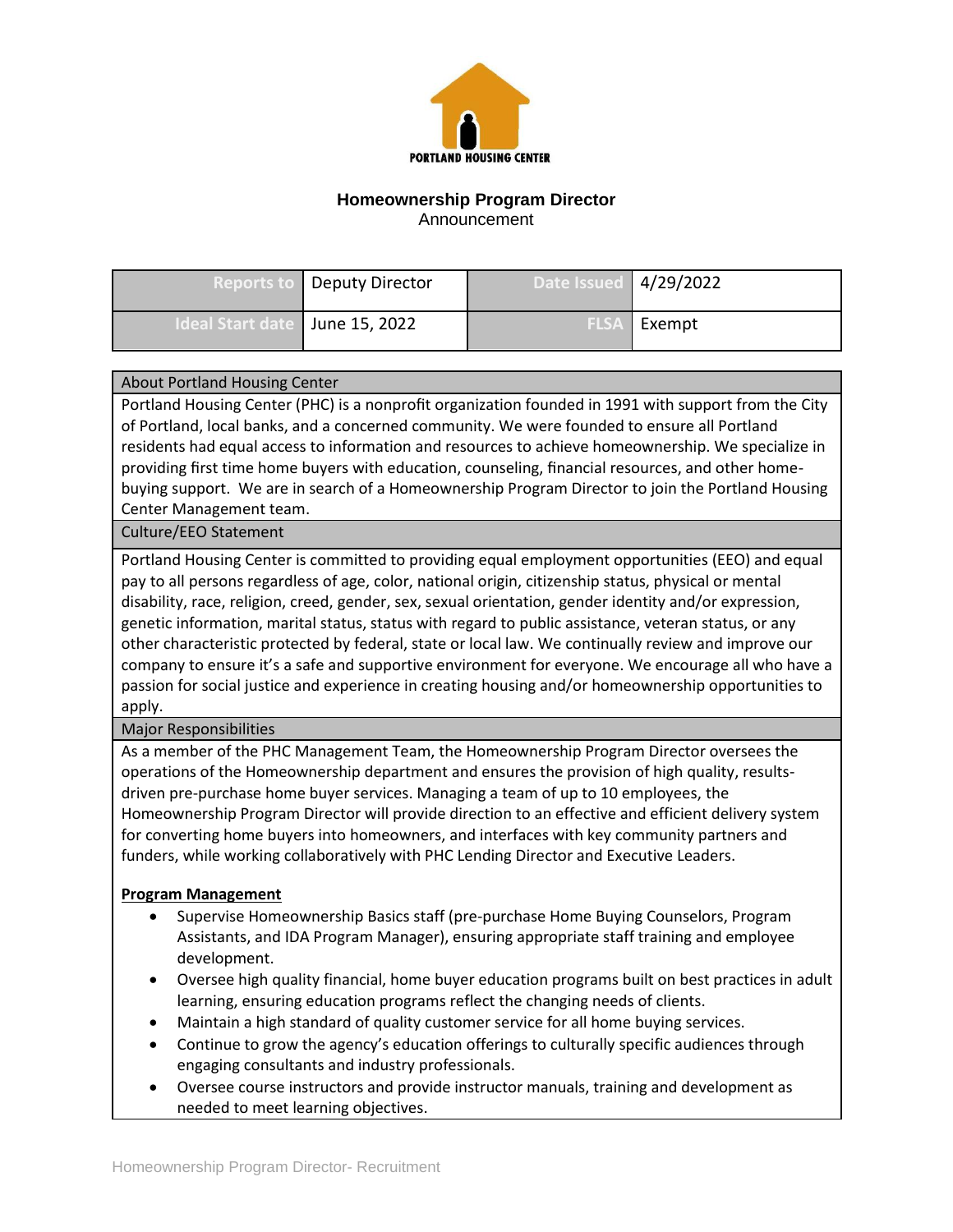

# **Homeownership Program Director**

Announcement

|                                  | <b>Reports to   Deputy Director</b> | <b>Date Issued 4/29/2022</b> |          |
|----------------------------------|-------------------------------------|------------------------------|----------|
| Ideal Start date   June 15, 2022 |                                     | <b>FLSA</b> I                | I Exempt |

#### About Portland Housing Center

Portland Housing Center (PHC) is a nonprofit organization founded in 1991 with support from the City of Portland, local banks, and a concerned community. We were founded to ensure all Portland residents had equal access to information and resources to achieve homeownership. We specialize in providing first time home buyers with education, counseling, financial resources, and other homebuying support. We are in search of a Homeownership Program Director to join the Portland Housing Center Management team.

### Culture/EEO Statement

Portland Housing Center is committed to providing equal employment opportunities (EEO) and equal pay to all persons regardless of age, color, national origin, citizenship status, physical or mental disability, race, religion, creed, gender, sex, sexual orientation, gender identity and/or expression, genetic information, marital status, status with regard to public assistance, veteran status, or any other characteristic protected by federal, state or local law. We continually review and improve our company to ensure it's a safe and supportive environment for everyone. We encourage all who have a passion for social justice and experience in creating housing and/or homeownership opportunities to apply.

### Major Responsibilities

As a member of the PHC Management Team, the Homeownership Program Director oversees the operations of the Homeownership department and ensures the provision of high quality, resultsdriven pre-purchase home buyer services. Managing a team of up to 10 employees, the Homeownership Program Director will provide direction to an effective and efficient delivery system for converting home buyers into homeowners, and interfaces with key community partners and funders, while working collaboratively with PHC Lending Director and Executive Leaders.

### **Program Management**

- Supervise Homeownership Basics staff (pre-purchase Home Buying Counselors, Program Assistants, and IDA Program Manager), ensuring appropriate staff training and employee development.
- Oversee high quality financial, home buyer education programs built on best practices in adult learning, ensuring education programs reflect the changing needs of clients.
- Maintain a high standard of quality customer service for all home buying services.
- Continue to grow the agency's education offerings to culturally specific audiences through engaging consultants and industry professionals.
- Oversee course instructors and provide instructor manuals, training and development as needed to meet learning objectives.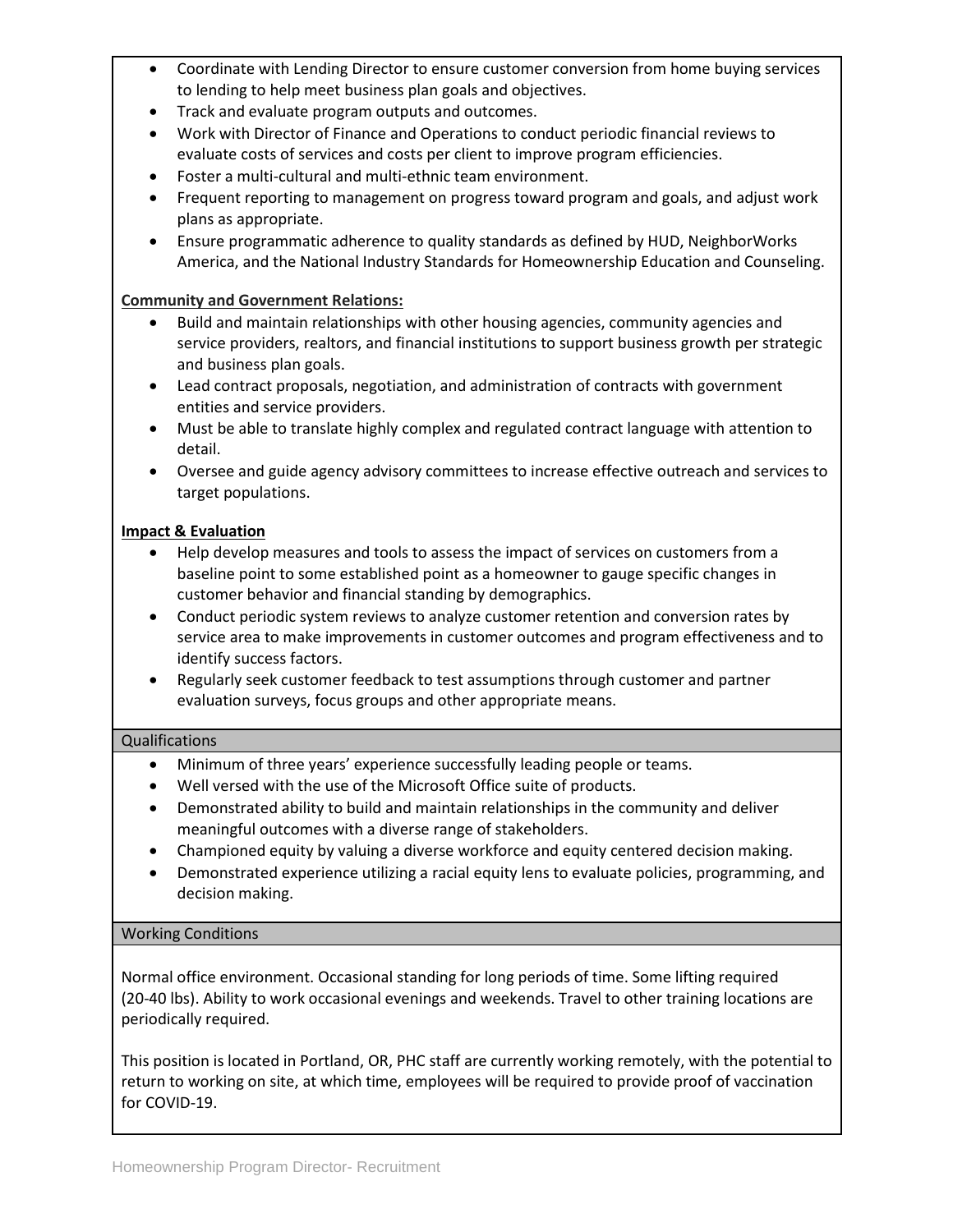- Coordinate with Lending Director to ensure customer conversion from home buying services to lending to help meet business plan goals and objectives.
- Track and evaluate program outputs and outcomes.
- Work with Director of Finance and Operations to conduct periodic financial reviews to evaluate costs of services and costs per client to improve program efficiencies.
- Foster a multi-cultural and multi-ethnic team environment.
- Frequent reporting to management on progress toward program and goals, and adjust work plans as appropriate.
- Ensure programmatic adherence to quality standards as defined by HUD, NeighborWorks America, and the National Industry Standards for Homeownership Education and Counseling.

## **Community and Government Relations:**

- Build and maintain relationships with other housing agencies, community agencies and service providers, realtors, and financial institutions to support business growth per strategic and business plan goals.
- Lead contract proposals, negotiation, and administration of contracts with government entities and service providers.
- Must be able to translate highly complex and regulated contract language with attention to detail.
- Oversee and guide agency advisory committees to increase effective outreach and services to target populations.

## **Impact & Evaluation**

- Help develop measures and tools to assess the impact of services on customers from a baseline point to some established point as a homeowner to gauge specific changes in customer behavior and financial standing by demographics.
- Conduct periodic system reviews to analyze customer retention and conversion rates by service area to make improvements in customer outcomes and program effectiveness and to identify success factors.
- Regularly seek customer feedback to test assumptions through customer and partner evaluation surveys, focus groups and other appropriate means.

### Qualifications

- Minimum of three years' experience successfully leading people or teams.
- Well versed with the use of the Microsoft Office suite of products.
- Demonstrated ability to build and maintain relationships in the community and deliver meaningful outcomes with a diverse range of stakeholders.
- Championed equity by valuing a diverse workforce and equity centered decision making.
- Demonstrated experience utilizing a racial equity lens to evaluate policies, programming, and decision making.

### Working Conditions

Normal office environment. Occasional standing for long periods of time. Some lifting required (20-40 lbs). Ability to work occasional evenings and weekends. Travel to other training locations are periodically required.

This position is located in Portland, OR, PHC staff are currently working remotely, with the potential to return to working on site, at which time, employees will be required to provide proof of vaccination for COVID-19.